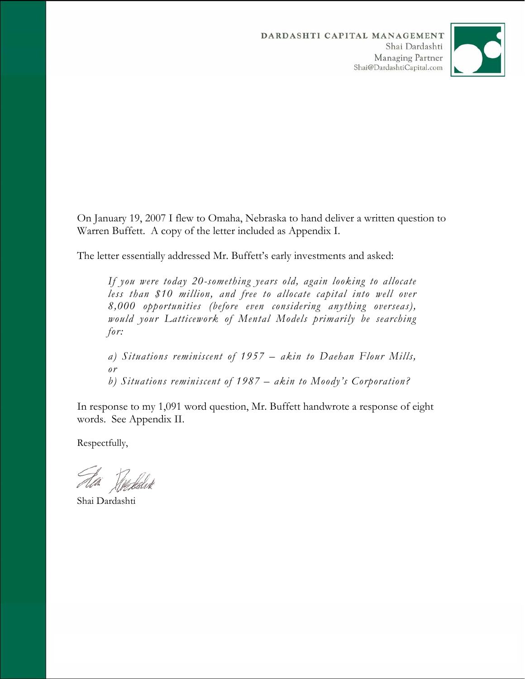

On January 19, 2007 I flew to Omaha, Nebraska to hand deliver a written question to Warren Buffett. A copy of the letter included as Appendix I.

The letter essentially addressed Mr. Buffett's early investments and asked:

*If you were today 20-something years old, again looking to allocate less than \$10 million, and free to allocate capital into well over 8,000 opportunities (before even considering anything overseas), would your Latticework of Mental Models primarily be searching for:* 

*a) Situations reminiscent of 1957 – akin to Daehan Flour Mills, or b) Situations reminiscent of 1987 – akin to Moody's Corporation?* 

In response to my 1,091 word question, Mr. Buffett handwrote a response of eight words. See Appendix II.

Respectfully,

Air Tiestalist

Shai Dardashti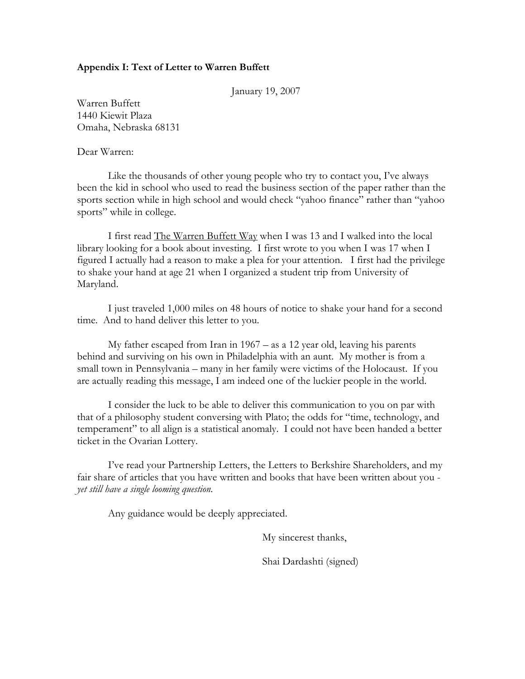# **Appendix I: Text of Letter to Warren Buffett**

January 19, 2007

Warren Buffett 1440 Kiewit Plaza Omaha, Nebraska 68131

Dear Warren:

Like the thousands of other young people who try to contact you, I've always been the kid in school who used to read the business section of the paper rather than the sports section while in high school and would check "yahoo finance" rather than "yahoo sports" while in college.

I first read The Warren Buffett Way when I was 13 and I walked into the local library looking for a book about investing. I first wrote to you when I was 17 when I figured I actually had a reason to make a plea for your attention. I first had the privilege to shake your hand at age 21 when I organized a student trip from University of Maryland.

I just traveled 1,000 miles on 48 hours of notice to shake your hand for a second time. And to hand deliver this letter to you.

My father escaped from Iran in 1967 – as a 12 year old, leaving his parents behind and surviving on his own in Philadelphia with an aunt. My mother is from a small town in Pennsylvania – many in her family were victims of the Holocaust. If you are actually reading this message, I am indeed one of the luckier people in the world.

I consider the luck to be able to deliver this communication to you on par with that of a philosophy student conversing with Plato; the odds for "time, technology, and temperament" to all align is a statistical anomaly. I could not have been handed a better ticket in the Ovarian Lottery.

I've read your Partnership Letters, the Letters to Berkshire Shareholders, and my fair share of articles that you have written and books that have been written about you *yet still have a single looming question.* 

Any guidance would be deeply appreciated.

My sincerest thanks,

Shai Dardashti (signed)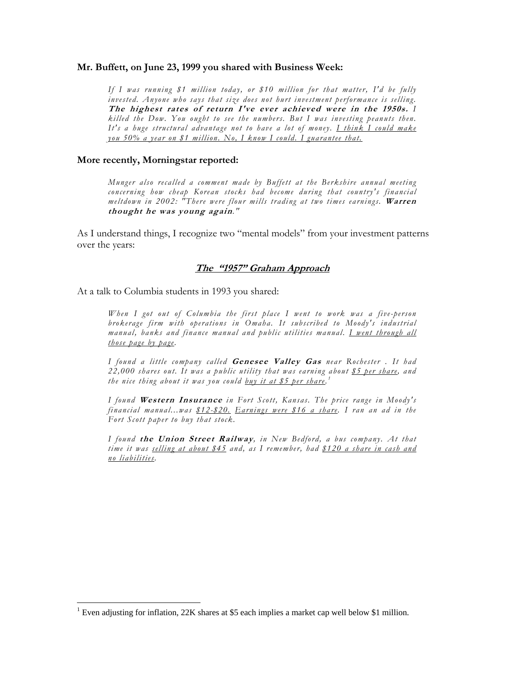### **Mr. Buffett, on June 23, 1999 you shared with Business Week:**

*If I was running \$1 million today, or \$10 million for that matter, I'd be fully invested. Anyone who says that size does not hurt investment performance is selling.*  **The highest rates of return I've ever achieved were in the 1950s.** *I killed the Dow. You ought to see the numbers. But I was investing peanuts then. It's a huge structural advantage not to have a lot of money. I think I could make you 50% a year on \$1 million. No, I know I could. I guarantee that.*

### **More recently, Morningstar reported:**

*Munger also recalled a comment made by Buffett at the Berkshire annual meeting concerning how cheap Korean stocks had become during that country's financial meltdown in 2002: "There were flour mills trading at two times earnings.* **Warren thought he was young again***."* 

As I understand things, I recognize two "mental models" from your investment patterns over the years:

## **The "1957" Graham Approach**

At a talk to Columbia students in 1993 you shared:

 $\overline{a}$ 

*When I got out of Columbia the first place I went to work was a five-person brokerage firm with operations in Omaha. It subscribed to Moody's industrial manual, banks and finance manual and public utilities manual. I went through all those page by page.* 

*I found a little company called* **Genesee Valley Gas** *near Rochester . It had 22,000 shares out. It was a public utility that was earning about \$5 per share, and the nice thing about it was you could buy it at \$5 per share. 1*

*I found* **Western Insurance** *in Fort Scott, Kansas. The price range in Moody's financial manual...was \$12-\$20. Earnings were \$16 a share. I ran an ad in the Fort Scott paper to buy that stock.* 

*I found* **the Union Street Railway***, in New Bedford, a bus company. At that time it was selling at about \$45 and, as I remember, had \$120 a share in cash and no liabilities.* 

<sup>&</sup>lt;sup>1</sup> Even adjusting for inflation, 22K shares at \$5 each implies a market cap well below \$1 million.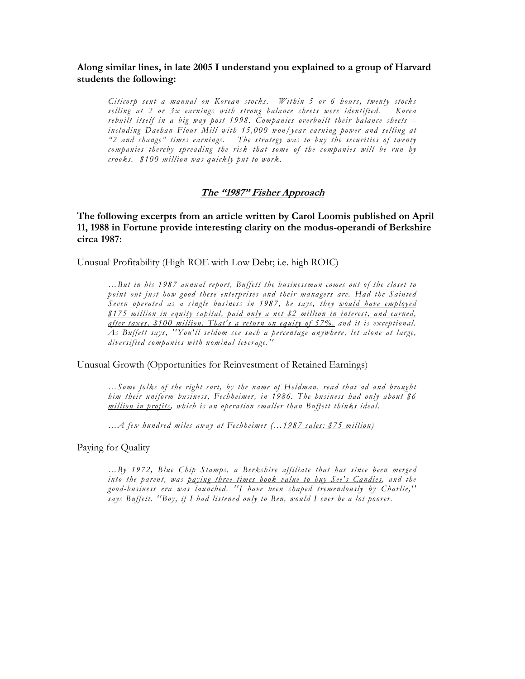# **Along similar lines, in late 2005 I understand you explained to a group of Harvard students the following:**

*Citicorp sent a manual on Korean stocks. Within 5 or 6 hours, twenty stocks selling at 2 or 3x earnings with strong balance sheets were identified. Korea rebuilt itself in a big way post 1998. Companies overbuilt their balance sheets – including Daehan Flour Mill with 15,000 won/year earning power and selling at "2 and change" times earnings. The strategy was to buy the securities of twenty companies thereby spreading the risk that some of the companies will be run by crooks. \$100 million was quickly put to work.* 

## **The "1987" Fisher Approach**

**The following excerpts from an article written by Carol Loomis published on April 11, 1988 in Fortune provide interesting clarity on the modus-operandi of Berkshire circa 1987:** 

Unusual Profitability (High ROE with Low Debt; i.e. high ROIC)

*…But in his 1987 annual report, Buffett the businessman comes out of the closet to point out just how good these enterprises and their managers are. Had the Sainted Seven operated as a single business in 1987, he says, they would have employed \$175 million in equity capital, paid only a net \$2 million in interest, and earned, after taxes, \$100 million. That's a return on equity of 57%, and it is exceptional. As Buffett says, ''You'll seldom see such a percentage anywhere, let alone at large, diversified companies with nominal leverage.''* 

Unusual Growth (Opportunities for Reinvestment of Retained Earnings)

*…Some folks of the right sort, by the name of Heldman, read that ad and brought him their uniform business, Fechheimer, in 1986. The business had only about \$6 million in profits, which is an operation smaller than Buffett thinks ideal.* 

*…A few hundred miles away at Fechheimer (…1987 sales: \$75 million)* 

Paying for Quality

*…By 1972, Blue Chip Stamps, a Berkshire affiliate that has since been merged into the parent, was paying three times book value to buy See's Candies, and the good-business era was launched. ''I have been shaped tremendously by Charlie,'' says Buffett. ''Boy, if I had listened only to Ben, would I ever be a lot poorer.*